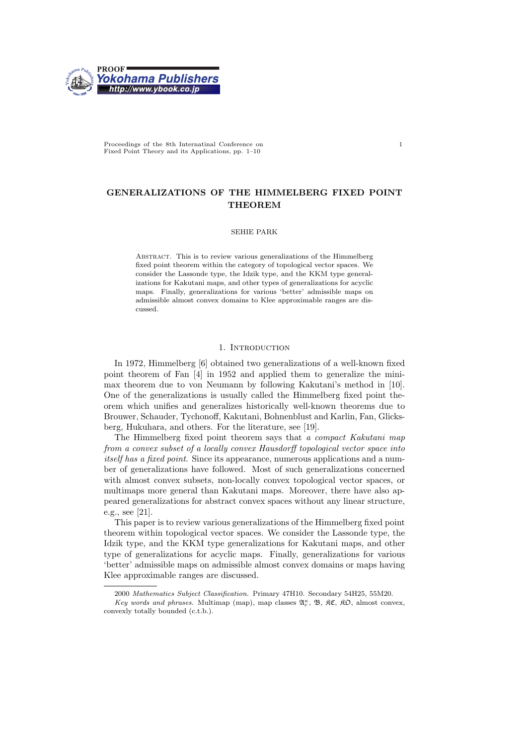

Proceedings of the 8th Internatinal Conference on Fixed Point Theory and its Applications, pp. 1–10

# GENERALIZATIONS OF THE HIMMELBERG FIXED POINT **THEOREM**

## SEHIE PARK

Abstract. This is to review various generalizations of the Himmelberg fixed point theorem within the category of topological vector spaces. We consider the Lassonde type, the Idzik type, and the KKM type generalizations for Kakutani maps, and other types of generalizations for acyclic maps. Finally, generalizations for various 'better' admissible maps on admissible almost convex domains to Klee approximable ranges are discussed.

## 1. INTRODUCTION

In 1972, Himmelberg [6] obtained two generalizations of a well-known fixed point theorem of Fan [4] in 1952 and applied them to generalize the minimax theorem due to von Neumann by following Kakutani's method in [10]. One of the generalizations is usually called the Himmelberg fixed point theorem which unifies and generalizes historically well-known theorems due to Brouwer, Schauder, Tychonoff, Kakutani, Bohnenblust and Karlin, Fan, Glicksberg, Hukuhara, and others. For the literature, see [19].

The Himmelberg fixed point theorem says that a compact Kakutani map from a convex subset of a locally convex Hausdorff topological vector space into itself has a fixed point. Since its appearance, numerous applications and a number of generalizations have followed. Most of such generalizations concerned with almost convex subsets, non-locally convex topological vector spaces, or multimaps more general than Kakutani maps. Moreover, there have also appeared generalizations for abstract convex spaces without any linear structure, e.g., see [21].

This paper is to review various generalizations of the Himmelberg fixed point theorem within topological vector spaces. We consider the Lassonde type, the Idzik type, and the KKM type generalizations for Kakutani maps, and other type of generalizations for acyclic maps. Finally, generalizations for various 'better' admissible maps on admissible almost convex domains or maps having Klee approximable ranges are discussed.

1

<sup>2000</sup> Mathematics Subject Classification. Primary 47H10. Secondary 54H25, 55M20.

Key words and phrases. Multimap (map), map classes  $\mathfrak{A}_{c}^{\kappa}$ ,  $\mathfrak{B}$ ,  $\mathfrak{K}C$ ,  $\mathfrak{K}D$ , almost convex, convexly totally bounded (c.t.b.).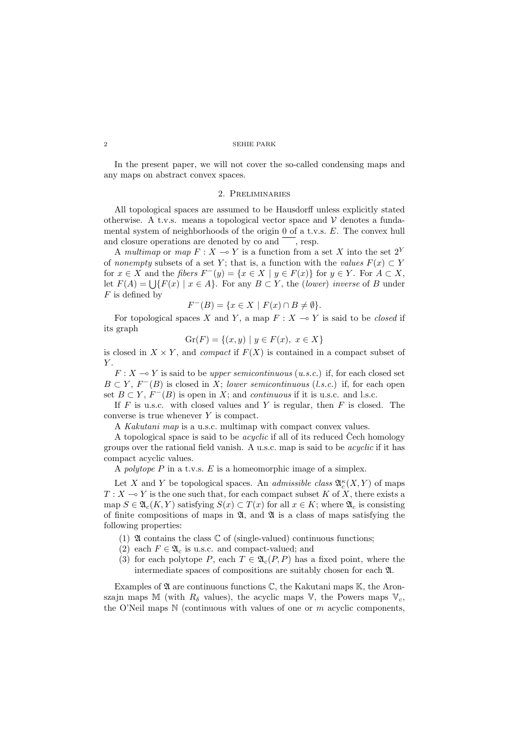In the present paper, we will not cover the so-called condensing maps and any maps on abstract convex spaces.

# 2. Preliminaries

All topological spaces are assumed to be Hausdorff unless explicitly stated otherwise. A t.v.s. means a topological vector space and  $\mathcal V$  denotes a fundamental system of neighborhoods of the origin 0 of a t.v.s. E. The convex hull and closure operations are denoted by  $\cos$  and  $\cos$ , resp.

A multimap or map  $F : X \to Y$  is a function from a set X into the set  $2^Y$ of nonempty subsets of a set Y; that is, a function with the values  $F(x) \subset Y$ for  $x \in X$  and the fibers  $F^-(y) = \{x \in X \mid y \in F(x)\}\$ for  $y \in Y$ . For  $A \subset X$ , lot  $x \in A$  and the *floers*  $F'(y) = \{x \in A \mid y \in F(x)\}$  for  $y \in I$ . For  $A \subset A$ ,<br>let  $F(A) = \bigcup \{F(x) \mid x \in A\}$ . For any  $B \subset Y$ , the *(lower) inverse* of B under  $F$  is defined by

$$
F^{-}(B) = \{ x \in X \mid F(x) \cap B \neq \emptyset \}.
$$

For topological spaces X and Y, a map  $F : X \to Y$  is said to be closed if its graph

$$
Gr(F) = \{(x, y) \mid y \in F(x), \ x \in X\}
$$

is closed in  $X \times Y$ , and *compact* if  $F(X)$  is contained in a compact subset of  $Y$ .

 $F: X \rightarrow Y$  is said to be upper semicontinuous (u.s.c.) if, for each closed set  $B \subset Y$ ,  $F^{-}(B)$  is closed in X; lower semicontinuous (l.s.c.) if, for each open set  $B \subset Y$ ,  $F^{-}(B)$  is open in X; and *continuous* if it is u.s.c. and l.s.c.

If  $F$  is u.s.c. with closed values and Y is regular, then  $F$  is closed. The converse is true whenever Y is compact.

A Kakutani map is a u.s.c. multimap with compact convex values.

A topological space is said to be *acyclic* if all of its reduced Cech homology groups over the rational field vanish. A u.s.c. map is said to be acyclic if it has compact acyclic values.

A *polytope*  $P$  in a t.v.s.  $E$  is a homeomorphic image of a simplex.

Let X and Y be topological spaces. An *admissible class*  $\mathfrak{A}_{c}^{\kappa}(X, Y)$  of maps  $T : X \longrightarrow Y$  is the one such that, for each compact subset K of X, there exists a map  $S \in \mathfrak{A}_{c}(K, Y)$  satisfying  $S(x) \subset T(x)$  for all  $x \in K$ ; where  $\mathfrak{A}_{c}$  is consisting of finite compositions of maps in  $\mathfrak{A}$ , and  $\mathfrak{A}$  is a class of maps satisfying the following properties:

- (1)  $\mathfrak A$  contains the class  $\mathbb C$  of (single-valued) continuous functions;
- (2) each  $F \in \mathfrak{A}_c$  is u.s.c. and compact-valued; and
- (3) for each polytope P, each  $T \in \mathfrak{A}_c(P, P)$  has a fixed point, where the intermediate spaces of compositions are suitably chosen for each A.

Examples of  $\mathfrak A$  are continuous functions  $\mathbb C$ , the Kakutani maps  $\mathbb K$ , the Aronszajn maps M (with  $R_{\delta}$  values), the acyclic maps V, the Powers maps  $V_c$ , the O'Neil maps  $N$  (continuous with values of one or m acyclic components,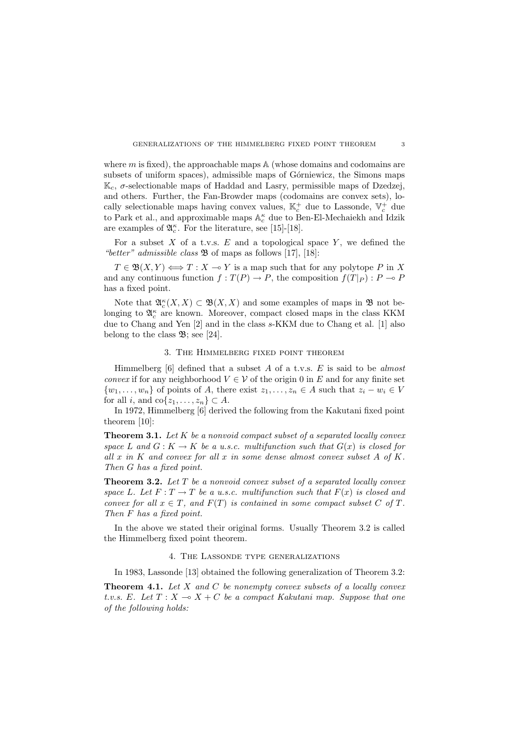where  $m$  is fixed), the approachable maps  $A$  (whose domains and codomains are subsets of uniform spaces), admissible maps of Górniewicz, the Simons maps  $\mathbb{K}_c$ , σ-selectionable maps of Haddad and Lasry, permissible maps of Dzedzej, and others. Further, the Fan-Browder maps (codomains are convex sets), locally selectionable maps having convex values,  $\mathbb{K}_c^+$  due to Lassonde,  $\mathbb{V}_c^+$  due to Park et al., and approximable maps  $\mathbb{A}_c^\kappa$  due to Ben-El-Mechaiekh and Idzik are examples of  $\mathfrak{A}_{c}^{\kappa}$ . For the literature, see [15]-[18].

For a subset  $X$  of a t.v.s.  $E$  and a topological space  $Y$ , we defined the "better" admissible class  $\mathfrak B$  of maps as follows [17], [18]:

 $T \in \mathfrak{B}(X, Y) \Longleftrightarrow T : X \multimap Y$  is a map such that for any polytope P in X and any continuous function  $f: T(P) \to P$ , the composition  $f(T|_P) : P \to P$ has a fixed point.

Note that  $\mathfrak{A}_{c}^{\kappa}(X,X) \subset \mathfrak{B}(X,X)$  and some examples of maps in  $\mathfrak{B}$  not belonging to  $\mathfrak{A}_c^{\kappa}$  are known. Moreover, compact closed maps in the class KKM due to Chang and Yen [2] and in the class s-KKM due to Chang et al. [1] also belong to the class  $\mathfrak{B}$ ; see [24].

# 3. The Himmelberg fixed point theorem

Himmelberg  $[6]$  defined that a subset A of a t.v.s. E is said to be almost *convex* if for any neighborhood  $V \in V$  of the origin 0 in E and for any finite set  $\{w_1, \ldots, w_n\}$  of points of A, there exist  $z_1, \ldots, z_n \in A$  such that  $z_i - w_i \in V$ for all i, and  $\text{co}\{z_1, \ldots, z_n\} \subset A$ .

In 1972, Himmelberg [6] derived the following from the Kakutani fixed point theorem [10]:

**Theorem 3.1.** Let  $K$  be a nonvoid compact subset of a separated locally convex space L and  $G: K \to K$  be a u.s.c. multifunction such that  $G(x)$  is closed for all x in K and convex for all x in some dense almost convex subset  $A$  of  $K$ . Then G has a fixed point.

**Theorem 3.2.** Let  $T$  be a nonvoid convex subset of a separated locally convex space L. Let  $F: T \to T$  be a u.s.c. multifunction such that  $F(x)$  is closed and convex for all  $x \in T$ , and  $F(T)$  is contained in some compact subset C of T. Then F has a fixed point.

In the above we stated their original forms. Usually Theorem 3.2 is called the Himmelberg fixed point theorem.

### 4. The Lassonde type generalizations

In 1983, Lassonde [13] obtained the following generalization of Theorem 3.2:

**Theorem 4.1.** Let  $X$  and  $C$  be nonempty convex subsets of a locally convex t.v.s. E. Let  $T : X \to X + C$  be a compact Kakutani map. Suppose that one of the following holds: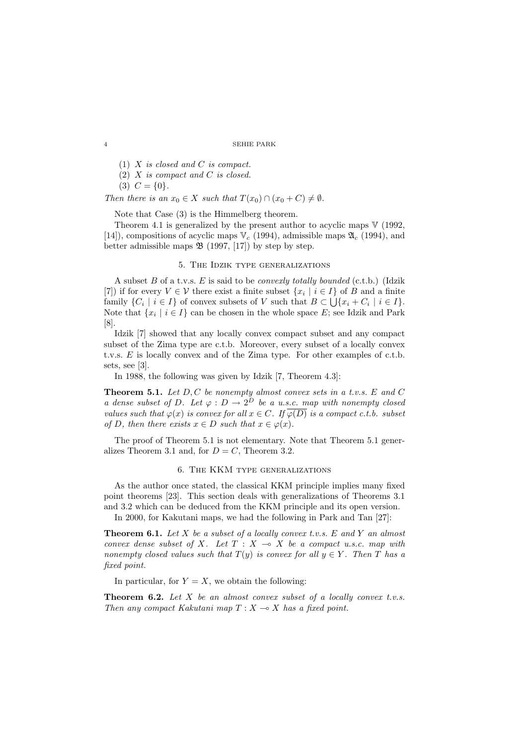```
4 SEHIE PARK
```
(1) X is closed and C is compact.

 $(2)$  X is compact and C is closed.

 $(3)$   $C = \{0\}.$ 

Then there is an  $x_0 \in X$  such that  $T(x_0) \cap (x_0 + C) \neq \emptyset$ .

Note that Case (3) is the Himmelberg theorem.

Theorem 4.1 is generalized by the present author to acyclic maps  $V(1992, 1992)$ [14]), compositions of acyclic maps  $\mathbb{V}_c$  (1994), admissible maps  $\mathfrak{A}_c$  (1994), and better admissible maps  $\mathfrak{B}$  (1997, [17]) by step by step.

# 5. The Idzik type generalizations

A subset B of a t.v.s. E is said to be *convexly totally bounded* (c.t.b.) (Idzik [7]) if for every  $V \in \mathcal{V}$  there exist a finite subset  $\{x_i \mid i \in I\}$  of B and a finite family  $\{C_i \mid i \in I\}$  of convex subsets of V such that  $B \subset \bigcup \{x_i + C_i \mid i \in I\}$ . Note that  $\{x_i \mid i \in I\}$  can be chosen in the whole space E; see Idzik and Park [8].

Idzik [7] showed that any locally convex compact subset and any compact subset of the Zima type are c.t.b. Moreover, every subset of a locally convex t.v.s. E is locally convex and of the Zima type. For other examples of c.t.b. sets, see [3].

In 1988, the following was given by Idzik [7, Theorem 4.3]:

**Theorem 5.1.** Let  $D, C$  be nonempty almost convex sets in a t.v.s.  $E$  and  $C$ a dense subset of D. Let  $\varphi : D \to 2^D$  be a u.s.c. map with nonempty closed values such that  $\varphi(x)$  is convex for all  $x \in C$ . If  $\overline{\varphi(D)}$  is a compact c.t.b. subset of D, then there exists  $x \in D$  such that  $x \in \varphi(x)$ .

The proof of Theorem 5.1 is not elementary. Note that Theorem 5.1 generalizes Theorem 3.1 and, for  $D = C$ , Theorem 3.2.

### 6. The KKM type generalizations

As the author once stated, the classical KKM principle implies many fixed point theorems [23]. This section deals with generalizations of Theorems 3.1 and 3.2 which can be deduced from the KKM principle and its open version.

In 2000, for Kakutani maps, we had the following in Park and Tan [27]:

**Theorem 6.1.** Let X be a subset of a locally convex t.v.s. E and Y an almost convex dense subset of X. Let  $T : X \rightarrow X$  be a compact u.s.c. map with nonempty closed values such that  $T(y)$  is convex for all  $y \in Y$ . Then T has a fixed point.

In particular, for  $Y = X$ , we obtain the following:

**Theorem 6.2.** Let  $X$  be an almost convex subset of a locally convex t.v.s. Then any compact Kakutani map  $T : X \longrightarrow X$  has a fixed point.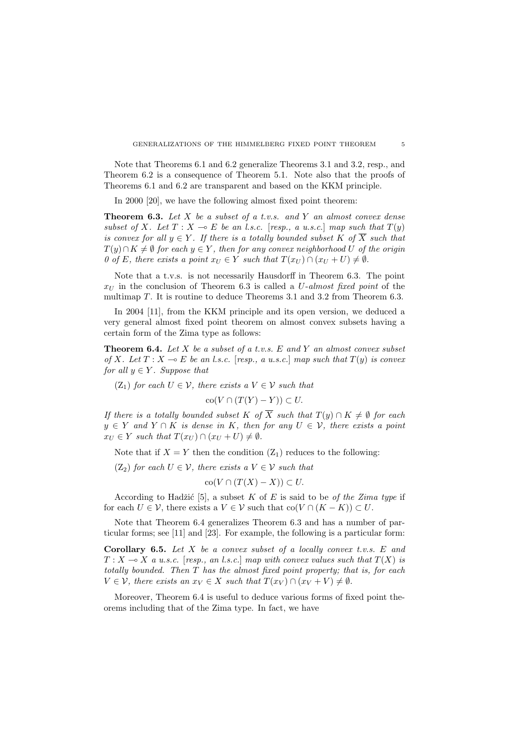Note that Theorems 6.1 and 6.2 generalize Theorems 3.1 and 3.2, resp., and Theorem 6.2 is a consequence of Theorem 5.1. Note also that the proofs of Theorems 6.1 and 6.2 are transparent and based on the KKM principle.

In 2000 [20], we have the following almost fixed point theorem:

**Theorem 6.3.** Let  $X$  be a subset of a t.v.s. and  $Y$  an almost convex dense subset of X. Let  $T : X \multimap E$  be an l.s.c. [resp., a u.s.c.] map such that  $T(y)$ is convex for all  $y \in Y$ . If there is a totally bounded subset K of  $\overline{X}$  such that  $T(y) \cap K \neq \emptyset$  for each  $y \in Y$ , then for any convex neighborhood U of the origin 0 of E, there exists a point  $x_U \in Y$  such that  $T(x_U) \cap (x_U + U) \neq \emptyset$ .

Note that a t.v.s. is not necessarily Hausdorff in Theorem 6.3. The point  $x_U$  in the conclusion of Theorem 6.3 is called a U-almost fixed point of the multimap T. It is routine to deduce Theorems 3.1 and 3.2 from Theorem 6.3.

In 2004 [11], from the KKM principle and its open version, we deduced a very general almost fixed point theorem on almost convex subsets having a certain form of the Zima type as follows:

**Theorem 6.4.** Let  $X$  be a subset of a t.v.s.  $E$  and  $Y$  an almost convex subset of X. Let  $T : X \to E$  be an l.s.c. [resp., a u.s.c.] map such that  $T(y)$  is convex for all  $y \in Y$ . Suppose that

 $(Z_1)$  for each  $U \in \mathcal{V}$ , there exists a  $V \in \mathcal{V}$  such that

$$
co(V \cap (T(Y) - Y)) \subset U.
$$

If there is a totally bounded subset K of  $\overline{X}$  such that  $T(y) \cap K \neq \emptyset$  for each  $y \in Y$  and  $Y \cap K$  is dense in K, then for any  $U \in V$ , there exists a point  $x_U \in Y$  such that  $T(x_U) \cap (x_U + U) \neq \emptyset$ .

Note that if  $X = Y$  then the condition  $(Z_1)$  reduces to the following:

 $(Z_2)$  for each  $U \in \mathcal{V}$ , there exists a  $V \in \mathcal{V}$  such that

$$
co(V \cap (T(X) - X)) \subset U.
$$

According to Hadžić [5], a subset K of E is said to be of the Zima type if for each  $U \in \mathcal{V}$ , there exists a  $V \in \mathcal{V}$  such that  $\text{co}(V \cap (K - K)) \subset U$ .

Note that Theorem 6.4 generalizes Theorem 6.3 and has a number of particular forms; see [11] and [23]. For example, the following is a particular form:

**Corollary 6.5.** Let  $X$  be a convex subset of a locally convex t.v.s.  $E$  and  $T : X \longrightarrow X$  a u.s.c. [resp., an l.s.c.] map with convex values such that  $T(X)$  is totally bounded. Then T has the almost fixed point property; that is, for each  $V \in \mathcal{V}$ , there exists an  $x_V \in X$  such that  $T(x_V) \cap (x_V + V) \neq \emptyset$ .

Moreover, Theorem 6.4 is useful to deduce various forms of fixed point theorems including that of the Zima type. In fact, we have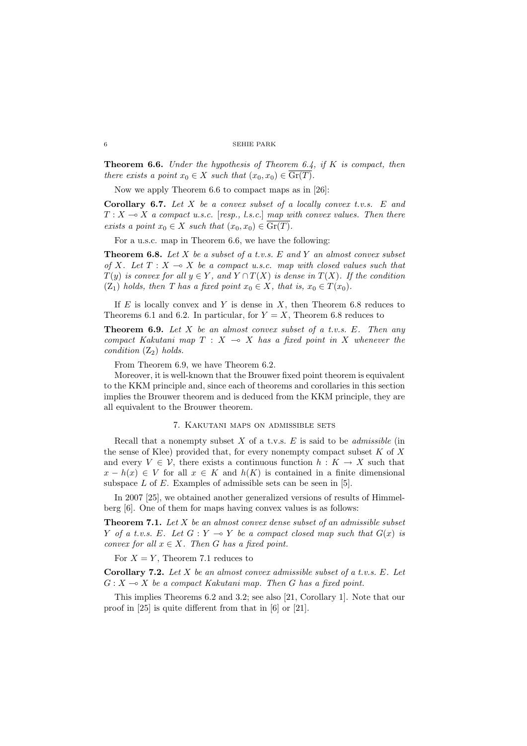**Theorem 6.6.** Under the hypothesis of Theorem 6.4, if  $K$  is compact, then there exists a point  $x_0 \in X$  such that  $(x_0, x_0) \in \text{Gr}(T)$ .

Now we apply Theorem 6.6 to compact maps as in [26]:

Corollary 6.7. Let  $X$  be a convex subset of a locally convex t.v.s.  $E$  and  $T : X \longrightarrow X$  a compact u.s.c. [resp., l.s.c.] map with convex values. Then there exists a point  $x_0 \in X$  such that  $(x_0, x_0) \in \mathrm{Gr}(T)$ .

For a u.s.c. map in Theorem 6.6, we have the following:

**Theorem 6.8.** Let X be a subset of a t.v.s. E and Y an almost convex subset of X. Let  $T : X \longrightarrow X$  be a compact u.s.c. map with closed values such that  $T(y)$  is convex for all  $y \in Y$ , and  $Y \cap T(X)$  is dense in  $T(X)$ . If the condition (Z<sub>1</sub>) holds, then T has a fixed point  $x_0 \in X$ , that is,  $x_0 \in T(x_0)$ .

If  $E$  is locally convex and Y is dense in  $X$ , then Theorem 6.8 reduces to Theorems 6.1 and 6.2. In particular, for  $Y = X$ , Theorem 6.8 reduces to

**Theorem 6.9.** Let  $X$  be an almost convex subset of a t.v.s.  $E$ . Then any compact Kakutani map  $T : X \multimap X$  has a fixed point in X whenever the condition  $(Z_2)$  holds.

From Theorem 6.9, we have Theorem 6.2.

Moreover, it is well-known that the Brouwer fixed point theorem is equivalent to the KKM principle and, since each of theorems and corollaries in this section implies the Brouwer theorem and is deduced from the KKM principle, they are all equivalent to the Brouwer theorem.

### 7. Kakutani maps on admissible sets

Recall that a nonempty subset  $X$  of a t.v.s.  $E$  is said to be *admissible* (in the sense of Klee) provided that, for every nonempty compact subset  $K$  of  $X$ and every  $V \in \mathcal{V}$ , there exists a continuous function  $h : K \to X$  such that  $x - h(x) \in V$  for all  $x \in K$  and  $h(K)$  is contained in a finite dimensional subspace  $L$  of  $E$ . Examples of admissible sets can be seen in [5].

In 2007 [25], we obtained another generalized versions of results of Himmelberg [6]. One of them for maps having convex values is as follows:

**Theorem 7.1.** Let  $X$  be an almost convex dense subset of an admissible subset Y of a t.v.s. E. Let  $G: Y \multimap Y$  be a compact closed map such that  $G(x)$  is convex for all  $x \in X$ . Then G has a fixed point.

For  $X = Y$ , Theorem 7.1 reduces to

**Corollary 7.2.** Let  $X$  be an almost convex admissible subset of a t.v.s.  $E$ . Let  $G: X \rightarrow X$  be a compact Kakutani map. Then G has a fixed point.

This implies Theorems 6.2 and 3.2; see also [21, Corollary 1]. Note that our proof in [25] is quite different from that in [6] or [21].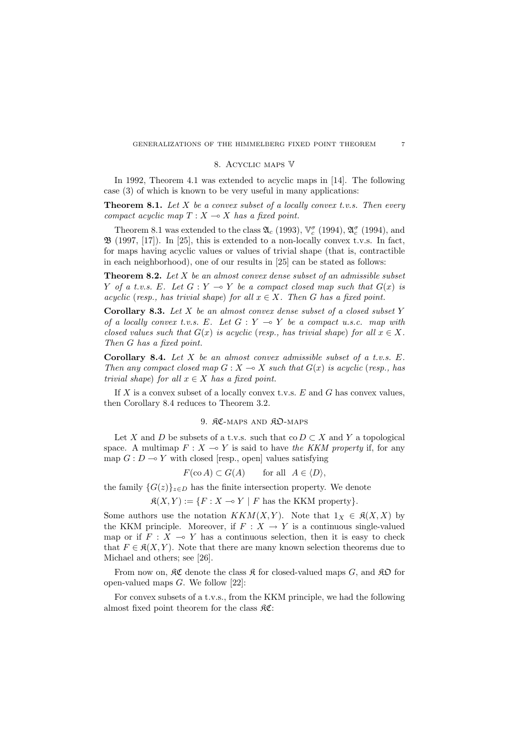### 8. Acyclic maps V

In 1992, Theorem 4.1 was extended to acyclic maps in [14]. The following case (3) of which is known to be very useful in many applications:

**Theorem 8.1.** Let X be a convex subset of a locally convex t.v.s. Then every compact acyclic map  $T : X \longrightarrow X$  has a fixed point.

Theorem 8.1 was extended to the class  $\mathfrak{A}_c$  (1993),  $\mathbb{V}_c^{\sigma}$  (1994),  $\mathfrak{A}_c^{\sigma}$  (1994), and  $\mathfrak{B}$  (1997, [17]). In [25], this is extended to a non-locally convex t.v.s. In fact, for maps having acyclic values or values of trivial shape (that is, contractible in each neighborhood), one of our results in [25] can be stated as follows:

**Theorem 8.2.** Let  $X$  be an almost convex dense subset of an admissible subset Y of a t.v.s. E. Let  $G: Y \multimap Y$  be a compact closed map such that  $G(x)$  is acyclic (resp., has trivial shape) for all  $x \in X$ . Then G has a fixed point.

Corollary 8.3. Let  $X$  be an almost convex dense subset of a closed subset  $Y$ of a locally convex t.v.s. E. Let  $G: Y \multimap Y$  be a compact u.s.c. map with closed values such that  $G(x)$  is acyclic (resp., has trivial shape) for all  $x \in X$ . Then G has a fixed point.

Corollary 8.4. Let  $X$  be an almost convex admissible subset of a t.v.s.  $E$ . Then any compact closed map  $G : X \to X$  such that  $G(x)$  is acyclic (resp., has trivial shape) for all  $x \in X$  has a fixed point.

If X is a convex subset of a locally convex t.v.s.  $E$  and  $G$  has convex values, then Corollary 8.4 reduces to Theorem 3.2.

### 9. RC-MAPS AND RD-MAPS

Let X and D be subsets of a t.v.s. such that co  $D \subset X$  and Y a topological space. A multimap  $F : X \to Y$  is said to have the KKM property if, for any map  $G: D \longrightarrow Y$  with closed [resp., open] values satisfying

$$
F(\text{co }A) \subset G(A)
$$
 for all  $A \in \langle D \rangle$ ,

the family  $\{G(z)\}_{z\in D}$  has the finite intersection property. We denote

 $\mathfrak{K}(X, Y) := \{F : X \multimap Y \mid F \text{ has the KKM property}\}.$ 

Some authors use the notation  $KKM(X,Y)$ . Note that  $1_X \in \mathfrak{K}(X,X)$  by the KKM principle. Moreover, if  $F : X \to Y$  is a continuous single-valued map or if  $F : X \multimap Y$  has a continuous selection, then it is easy to check that  $F \in \mathfrak{K}(X, Y)$ . Note that there are many known selection theorems due to Michael and others; see [26].

From now on,  $\mathcal{RC}$  denote the class  $\mathcal{R}$  for closed-valued maps G, and  $\mathcal{RD}$  for open-valued maps G. We follow [22]:

For convex subsets of a t.v.s., from the KKM principle, we had the following almost fixed point theorem for the class  $\Re$ **C**: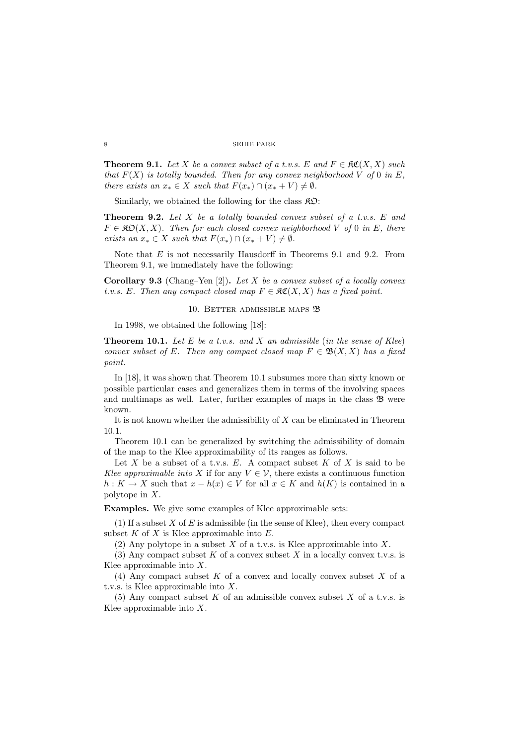**Theorem 9.1.** Let X be a convex subset of a t.v.s. E and  $F \in \mathfrak{RC}(X,X)$  such that  $F(X)$  is totally bounded. Then for any convex neighborhood V of 0 in E, there exists an  $x_* \in X$  such that  $F(x_*) \cap (x_* + V) \neq \emptyset$ .

Similarly, we obtained the following for the class  $\mathcal{R}D$ :

**Theorem 9.2.** Let  $X$  be a totally bounded convex subset of a t.v.s.  $E$  and  $F \in \mathfrak{K} \mathfrak{O}(X,X)$ . Then for each closed convex neighborhood V of 0 in E, there exists an  $x_* \in X$  such that  $F(x_*) \cap (x_* + V) \neq \emptyset$ .

Note that  $E$  is not necessarily Hausdorff in Theorems 9.1 and 9.2. From Theorem 9.1, we immediately have the following:

**Corollary 9.3** (Chang–Yen [2]). Let X be a convex subset of a locally convex t.v.s. E. Then any compact closed map  $F \in \mathfrak{RC}(X,X)$  has a fixed point.

### 10. BETTER ADMISSIBLE MAPS <sup>3</sup>3

In 1998, we obtained the following [18]:

**Theorem 10.1.** Let E be a t.v.s. and X an admissible (in the sense of Klee) convex subset of E. Then any compact closed map  $F \in \mathfrak{B}(X,X)$  has a fixed point.

In [18], it was shown that Theorem 10.1 subsumes more than sixty known or possible particular cases and generalizes them in terms of the involving spaces and multimaps as well. Later, further examples of maps in the class  $\mathfrak B$  were known.

It is not known whether the admissibility of  $X$  can be eliminated in Theorem 10.1.

Theorem 10.1 can be generalized by switching the admissibility of domain of the map to the Klee approximability of its ranges as follows.

Let X be a subset of a t.v.s.  $E$ . A compact subset  $K$  of  $X$  is said to be Klee approximable into X if for any  $V \in \mathcal{V}$ , there exists a continuous function  $h: K \to X$  such that  $x - h(x) \in V$  for all  $x \in K$  and  $h(K)$  is contained in a polytope in X.

Examples. We give some examples of Klee approximable sets:

(1) If a subset  $X$  of  $E$  is admissible (in the sense of Klee), then every compact subset  $K$  of  $X$  is Klee approximable into  $E$ .

(2) Any polytope in a subset X of a t.v.s. is Klee approximable into X.

(3) Any compact subset  $K$  of a convex subset  $X$  in a locally convex t.v.s. is Klee approximable into  $X$ .

(4) Any compact subset  $K$  of a convex and locally convex subset  $X$  of a t.v.s. is Klee approximable into X.

(5) Any compact subset K of an admissible convex subset X of a t.v.s. is Klee approximable into  $X$ .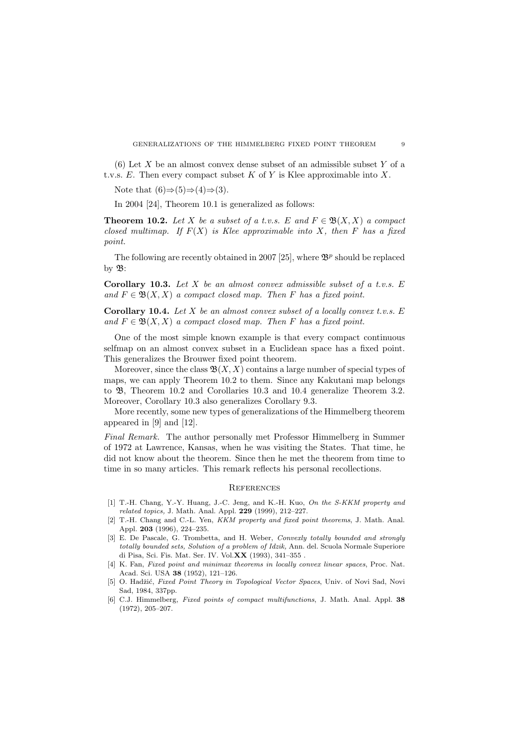(6) Let X be an almost convex dense subset of an admissible subset Y of a t.v.s.  $E$ . Then every compact subset  $K$  of  $Y$  is Klee approximable into  $X$ .

Note that  $(6) \Rightarrow (5) \Rightarrow (4) \Rightarrow (3)$ .

In 2004 [24], Theorem 10.1 is generalized as follows:

**Theorem 10.2.** Let X be a subset of a t.v.s. E and  $F \in \mathfrak{B}(X,X)$  a compact closed multimap. If  $F(X)$  is Klee approximable into X, then F has a fixed point.

The following are recently obtained in 2007 [25], where  $\mathfrak{B}^p$  should be replaced by  $\mathfrak{B}$ :

Corollary 10.3. Let  $X$  be an almost convex admissible subset of a t.v.s.  $E$ and  $F \in \mathfrak{B}(X,X)$  a compact closed map. Then F has a fixed point.

**Corollary 10.4.** Let  $X$  be an almost convex subset of a locally convex t.v.s.  $E$ and  $F \in \mathfrak{B}(X,X)$  a compact closed map. Then F has a fixed point.

One of the most simple known example is that every compact continuous selfmap on an almost convex subset in a Euclidean space has a fixed point. This generalizes the Brouwer fixed point theorem.

Moreover, since the class  $\mathfrak{B}(X,X)$  contains a large number of special types of maps, we can apply Theorem 10.2 to them. Since any Kakutani map belongs to B, Theorem 10.2 and Corollaries 10.3 and 10.4 generalize Theorem 3.2. Moreover, Corollary 10.3 also generalizes Corollary 9.3.

More recently, some new types of generalizations of the Himmelberg theorem appeared in [9] and [12].

Final Remark. The author personally met Professor Himmelberg in Summer of 1972 at Lawrence, Kansas, when he was visiting the States. That time, he did not know about the theorem. Since then he met the theorem from time to time in so many articles. This remark reflects his personal recollections.

# **REFERENCES**

- [1] T.-H. Chang, Y.-Y. Huang, J.-C. Jeng, and K.-H. Kuo, On the S-KKM property and related topics, J. Math. Anal. Appl. 229 (1999), 212–227.
- [2] T.-H. Chang and C.-L. Yen, KKM property and fixed point theorems, J. Math. Anal. Appl. 203 (1996), 224–235.
- [3] E. De Pascale, G. Trombetta, and H. Weber, Convexly totally bounded and strongly totally bounded sets, Solution of a problem of Idzik, Ann. del. Scuola Normale Superiore di Pisa, Sci. Fis. Mat. Ser. IV. Vol.XX (1993), 341–355 .
- [4] K. Fan, Fixed point and minimax theorems in locally convex linear spaces, Proc. Nat. Acad. Sci. USA 38 (1952), 121–126.
- [5] O. Hadžić, Fixed Point Theory in Topological Vector Spaces, Univ. of Novi Sad, Novi Sad, 1984, 337pp.
- [6] C.J. Himmelberg, Fixed points of compact multifunctions, J. Math. Anal. Appl. 38 (1972), 205–207.